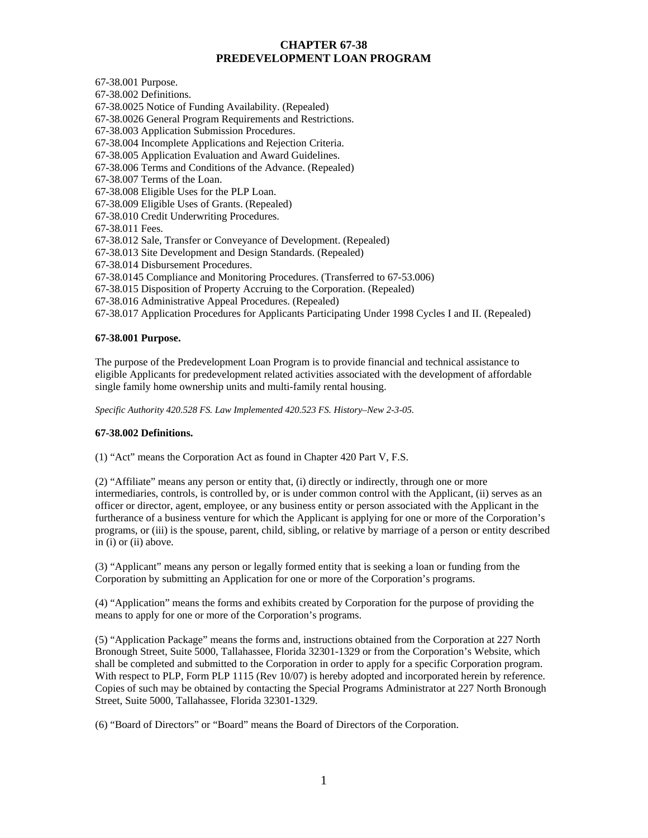# **CHAPTER 67-38 PREDEVELOPMENT LOAN PROGRAM**

67-38.001 Purpose.

67-38.002 Definitions. 67-38.0025 Notice of Funding Availability. (Repealed) 67-38.0026 General Program Requirements and Restrictions. 67-38.003 Application Submission Procedures. 67-38.004 Incomplete Applications and Rejection Criteria. 67-38.005 Application Evaluation and Award Guidelines. 67-38.006 Terms and Conditions of the Advance. (Repealed) 67-38.007 Terms of the Loan. 67-38.008 Eligible Uses for the PLP Loan. 67-38.009 Eligible Uses of Grants. (Repealed) 67-38.010 Credit Underwriting Procedures. 67-38.011 Fees. 67-38.012 Sale, Transfer or Conveyance of Development. (Repealed) 67-38.013 Site Development and Design Standards. (Repealed) 67-38.014 Disbursement Procedures. 67-38.0145 Compliance and Monitoring Procedures. (Transferred to 67-53.006) 67-38.015 Disposition of Property Accruing to the Corporation. (Repealed) 67-38.016 Administrative Appeal Procedures. (Repealed) 67-38.017 Application Procedures for Applicants Participating Under 1998 Cycles I and II. (Repealed)

## **67-38.001 Purpose.**

The purpose of the Predevelopment Loan Program is to provide financial and technical assistance to eligible Applicants for predevelopment related activities associated with the development of affordable single family home ownership units and multi-family rental housing.

*Specific Authority 420.528 FS. Law Implemented 420.523 FS. History–New 2-3-05.* 

## **67-38.002 Definitions.**

(1) "Act" means the Corporation Act as found in Chapter 420 Part V, F.S.

(2) "Affiliate" means any person or entity that, (i) directly or indirectly, through one or more intermediaries, controls, is controlled by, or is under common control with the Applicant, (ii) serves as an officer or director, agent, employee, or any business entity or person associated with the Applicant in the furtherance of a business venture for which the Applicant is applying for one or more of the Corporation's programs, or (iii) is the spouse, parent, child, sibling, or relative by marriage of a person or entity described in (i) or (ii) above.

(3) "Applicant" means any person or legally formed entity that is seeking a loan or funding from the Corporation by submitting an Application for one or more of the Corporation's programs.

(4) "Application" means the forms and exhibits created by Corporation for the purpose of providing the means to apply for one or more of the Corporation's programs.

(5) "Application Package" means the forms and, instructions obtained from the Corporation at 227 North Bronough Street, Suite 5000, Tallahassee, Florida 32301-1329 or from the Corporation's Website, which shall be completed and submitted to the Corporation in order to apply for a specific Corporation program. With respect to PLP, Form PLP 1115 (Rev 10/07) is hereby adopted and incorporated herein by reference. Copies of such may be obtained by contacting the Special Programs Administrator at 227 North Bronough Street, Suite 5000, Tallahassee, Florida 32301-1329.

(6) "Board of Directors" or "Board" means the Board of Directors of the Corporation.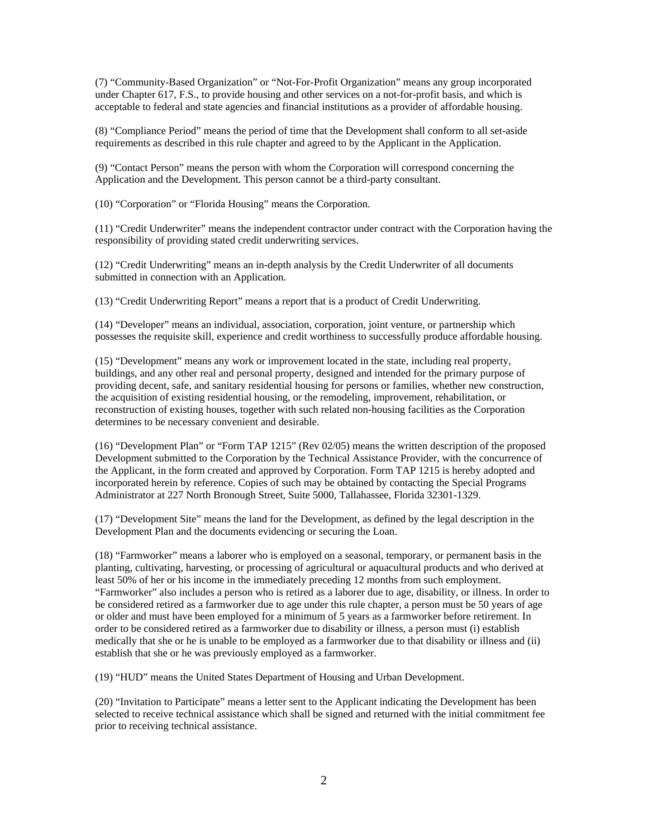(7) "Community-Based Organization" or "Not-For-Profit Organization" means any group incorporated under Chapter 617, F.S., to provide housing and other services on a not-for-profit basis, and which is acceptable to federal and state agencies and financial institutions as a provider of affordable housing.

(8) "Compliance Period" means the period of time that the Development shall conform to all set-aside requirements as described in this rule chapter and agreed to by the Applicant in the Application.

(9) "Contact Person" means the person with whom the Corporation will correspond concerning the Application and the Development. This person cannot be a third-party consultant.

(10) "Corporation" or "Florida Housing" means the Corporation.

(11) "Credit Underwriter" means the independent contractor under contract with the Corporation having the responsibility of providing stated credit underwriting services.

(12) "Credit Underwriting" means an in-depth analysis by the Credit Underwriter of all documents submitted in connection with an Application.

(13) "Credit Underwriting Report" means a report that is a product of Credit Underwriting.

(14) "Developer" means an individual, association, corporation, joint venture, or partnership which possesses the requisite skill, experience and credit worthiness to successfully produce affordable housing.

(15) "Development" means any work or improvement located in the state, including real property, buildings, and any other real and personal property, designed and intended for the primary purpose of providing decent, safe, and sanitary residential housing for persons or families, whether new construction, the acquisition of existing residential housing, or the remodeling, improvement, rehabilitation, or reconstruction of existing houses, together with such related non-housing facilities as the Corporation determines to be necessary convenient and desirable.

(16) "Development Plan" or "Form TAP 1215" (Rev 02/05) means the written description of the proposed Development submitted to the Corporation by the Technical Assistance Provider, with the concurrence of the Applicant, in the form created and approved by Corporation. Form TAP 1215 is hereby adopted and incorporated herein by reference. Copies of such may be obtained by contacting the Special Programs Administrator at 227 North Bronough Street, Suite 5000, Tallahassee, Florida 32301-1329.

(17) "Development Site" means the land for the Development, as defined by the legal description in the Development Plan and the documents evidencing or securing the Loan.

(18) "Farmworker" means a laborer who is employed on a seasonal, temporary, or permanent basis in the planting, cultivating, harvesting, or processing of agricultural or aquacultural products and who derived at least 50% of her or his income in the immediately preceding 12 months from such employment. "Farmworker" also includes a person who is retired as a laborer due to age, disability, or illness. In order to be considered retired as a farmworker due to age under this rule chapter, a person must be 50 years of age or older and must have been employed for a minimum of 5 years as a farmworker before retirement. In order to be considered retired as a farmworker due to disability or illness, a person must (i) establish medically that she or he is unable to be employed as a farmworker due to that disability or illness and (ii) establish that she or he was previously employed as a farmworker.

(19) "HUD" means the United States Department of Housing and Urban Development.

(20) "Invitation to Participate" means a letter sent to the Applicant indicating the Development has been selected to receive technical assistance which shall be signed and returned with the initial commitment fee prior to receiving technical assistance.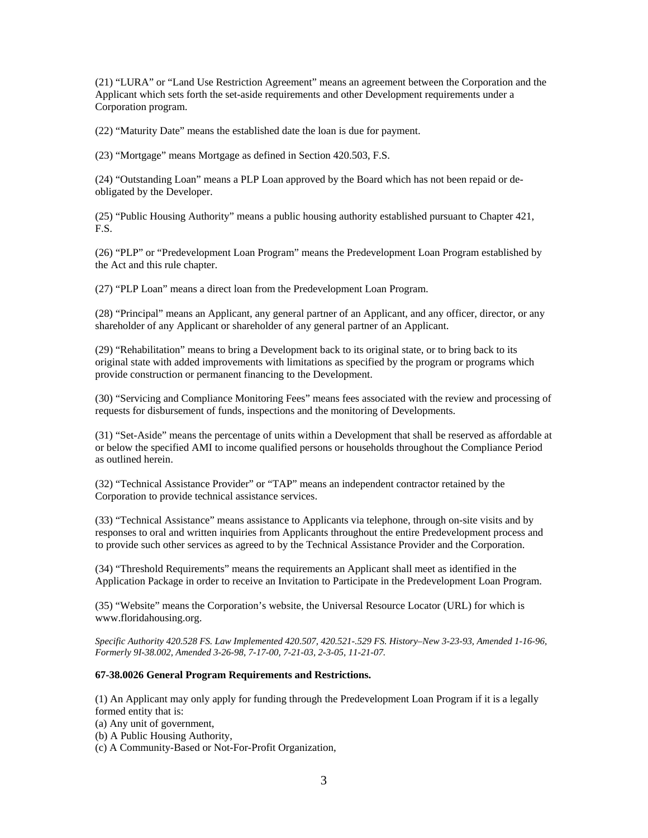(21) "LURA" or "Land Use Restriction Agreement" means an agreement between the Corporation and the Applicant which sets forth the set-aside requirements and other Development requirements under a Corporation program.

(22) "Maturity Date" means the established date the loan is due for payment.

(23) "Mortgage" means Mortgage as defined in Section 420.503, F.S.

(24) "Outstanding Loan" means a PLP Loan approved by the Board which has not been repaid or deobligated by the Developer.

(25) "Public Housing Authority" means a public housing authority established pursuant to Chapter 421, F.S.

(26) "PLP" or "Predevelopment Loan Program" means the Predevelopment Loan Program established by the Act and this rule chapter.

(27) "PLP Loan" means a direct loan from the Predevelopment Loan Program.

(28) "Principal" means an Applicant, any general partner of an Applicant, and any officer, director, or any shareholder of any Applicant or shareholder of any general partner of an Applicant.

(29) "Rehabilitation" means to bring a Development back to its original state, or to bring back to its original state with added improvements with limitations as specified by the program or programs which provide construction or permanent financing to the Development.

(30) "Servicing and Compliance Monitoring Fees" means fees associated with the review and processing of requests for disbursement of funds, inspections and the monitoring of Developments.

(31) "Set-Aside" means the percentage of units within a Development that shall be reserved as affordable at or below the specified AMI to income qualified persons or households throughout the Compliance Period as outlined herein.

(32) "Technical Assistance Provider" or "TAP" means an independent contractor retained by the Corporation to provide technical assistance services.

(33) "Technical Assistance" means assistance to Applicants via telephone, through on-site visits and by responses to oral and written inquiries from Applicants throughout the entire Predevelopment process and to provide such other services as agreed to by the Technical Assistance Provider and the Corporation.

(34) "Threshold Requirements" means the requirements an Applicant shall meet as identified in the Application Package in order to receive an Invitation to Participate in the Predevelopment Loan Program.

(35) "Website" means the Corporation's website, the Universal Resource Locator (URL) for which is www.floridahousing.org.

*Specific Authority 420.528 FS. Law Implemented 420.507, 420.521-.529 FS. History–New 3-23-93, Amended 1-16-96, Formerly 9I-38.002, Amended 3-26-98, 7-17-00, 7-21-03, 2-3-05, 11-21-07.* 

#### **67-38.0026 General Program Requirements and Restrictions.**

(1) An Applicant may only apply for funding through the Predevelopment Loan Program if it is a legally formed entity that is:

(a) Any unit of government,

(b) A Public Housing Authority,

(c) A Community-Based or Not-For-Profit Organization,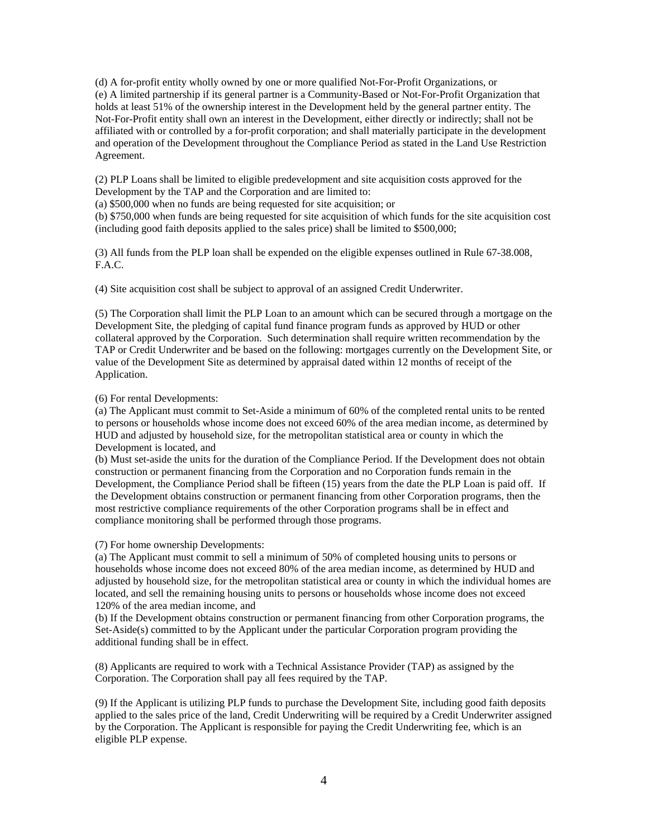(d) A for-profit entity wholly owned by one or more qualified Not-For-Profit Organizations, or (e) A limited partnership if its general partner is a Community-Based or Not-For-Profit Organization that holds at least 51% of the ownership interest in the Development held by the general partner entity. The Not-For-Profit entity shall own an interest in the Development, either directly or indirectly; shall not be affiliated with or controlled by a for-profit corporation; and shall materially participate in the development and operation of the Development throughout the Compliance Period as stated in the Land Use Restriction Agreement.

(2) PLP Loans shall be limited to eligible predevelopment and site acquisition costs approved for the Development by the TAP and the Corporation and are limited to:

(a) \$500,000 when no funds are being requested for site acquisition; or

(b) \$750,000 when funds are being requested for site acquisition of which funds for the site acquisition cost (including good faith deposits applied to the sales price) shall be limited to \$500,000;

(3) All funds from the PLP loan shall be expended on the eligible expenses outlined in Rule 67-38.008, F.A.C.

(4) Site acquisition cost shall be subject to approval of an assigned Credit Underwriter.

(5) The Corporation shall limit the PLP Loan to an amount which can be secured through a mortgage on the Development Site, the pledging of capital fund finance program funds as approved by HUD or other collateral approved by the Corporation. Such determination shall require written recommendation by the TAP or Credit Underwriter and be based on the following: mortgages currently on the Development Site, or value of the Development Site as determined by appraisal dated within 12 months of receipt of the Application.

(6) For rental Developments:

(a) The Applicant must commit to Set-Aside a minimum of 60% of the completed rental units to be rented to persons or households whose income does not exceed 60% of the area median income, as determined by HUD and adjusted by household size, for the metropolitan statistical area or county in which the Development is located, and

(b) Must set-aside the units for the duration of the Compliance Period. If the Development does not obtain construction or permanent financing from the Corporation and no Corporation funds remain in the Development, the Compliance Period shall be fifteen (15) years from the date the PLP Loan is paid off. If the Development obtains construction or permanent financing from other Corporation programs, then the most restrictive compliance requirements of the other Corporation programs shall be in effect and compliance monitoring shall be performed through those programs.

(7) For home ownership Developments:

(a) The Applicant must commit to sell a minimum of 50% of completed housing units to persons or households whose income does not exceed 80% of the area median income, as determined by HUD and adjusted by household size, for the metropolitan statistical area or county in which the individual homes are located, and sell the remaining housing units to persons or households whose income does not exceed 120% of the area median income, and

(b) If the Development obtains construction or permanent financing from other Corporation programs, the Set-Aside(s) committed to by the Applicant under the particular Corporation program providing the additional funding shall be in effect.

(8) Applicants are required to work with a Technical Assistance Provider (TAP) as assigned by the Corporation. The Corporation shall pay all fees required by the TAP.

(9) If the Applicant is utilizing PLP funds to purchase the Development Site, including good faith deposits applied to the sales price of the land, Credit Underwriting will be required by a Credit Underwriter assigned by the Corporation. The Applicant is responsible for paying the Credit Underwriting fee, which is an eligible PLP expense.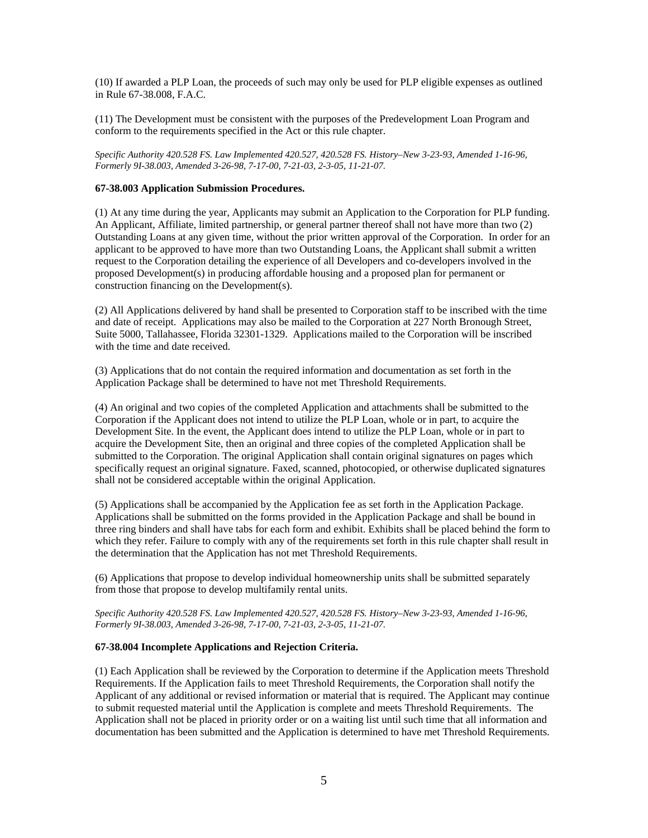(10) If awarded a PLP Loan, the proceeds of such may only be used for PLP eligible expenses as outlined in Rule 67-38.008, F.A.C.

(11) The Development must be consistent with the purposes of the Predevelopment Loan Program and conform to the requirements specified in the Act or this rule chapter.

*Specific Authority 420.528 FS. Law Implemented 420.527, 420.528 FS. History–New 3-23-93, Amended 1-16-96, Formerly 9I-38.003, Amended 3-26-98, 7-17-00, 7-21-03, 2-3-05, 11-21-07.* 

## **67-38.003 Application Submission Procedures.**

(1) At any time during the year, Applicants may submit an Application to the Corporation for PLP funding. An Applicant, Affiliate, limited partnership, or general partner thereof shall not have more than two (2) Outstanding Loans at any given time, without the prior written approval of the Corporation. In order for an applicant to be approved to have more than two Outstanding Loans, the Applicant shall submit a written request to the Corporation detailing the experience of all Developers and co-developers involved in the proposed Development(s) in producing affordable housing and a proposed plan for permanent or construction financing on the Development(s).

(2) All Applications delivered by hand shall be presented to Corporation staff to be inscribed with the time and date of receipt. Applications may also be mailed to the Corporation at 227 North Bronough Street, Suite 5000, Tallahassee, Florida 32301-1329. Applications mailed to the Corporation will be inscribed with the time and date received.

(3) Applications that do not contain the required information and documentation as set forth in the Application Package shall be determined to have not met Threshold Requirements.

(4) An original and two copies of the completed Application and attachments shall be submitted to the Corporation if the Applicant does not intend to utilize the PLP Loan, whole or in part, to acquire the Development Site. In the event, the Applicant does intend to utilize the PLP Loan, whole or in part to acquire the Development Site, then an original and three copies of the completed Application shall be submitted to the Corporation. The original Application shall contain original signatures on pages which specifically request an original signature. Faxed, scanned, photocopied, or otherwise duplicated signatures shall not be considered acceptable within the original Application.

(5) Applications shall be accompanied by the Application fee as set forth in the Application Package. Applications shall be submitted on the forms provided in the Application Package and shall be bound in three ring binders and shall have tabs for each form and exhibit. Exhibits shall be placed behind the form to which they refer. Failure to comply with any of the requirements set forth in this rule chapter shall result in the determination that the Application has not met Threshold Requirements.

(6) Applications that propose to develop individual homeownership units shall be submitted separately from those that propose to develop multifamily rental units.

*Specific Authority 420.528 FS. Law Implemented 420.527, 420.528 FS. History–New 3-23-93, Amended 1-16-96, Formerly 9I-38.003, Amended 3-26-98, 7-17-00, 7-21-03, 2-3-05, 11-21-07.* 

#### **67-38.004 Incomplete Applications and Rejection Criteria.**

(1) Each Application shall be reviewed by the Corporation to determine if the Application meets Threshold Requirements. If the Application fails to meet Threshold Requirements, the Corporation shall notify the Applicant of any additional or revised information or material that is required. The Applicant may continue to submit requested material until the Application is complete and meets Threshold Requirements. The Application shall not be placed in priority order or on a waiting list until such time that all information and documentation has been submitted and the Application is determined to have met Threshold Requirements.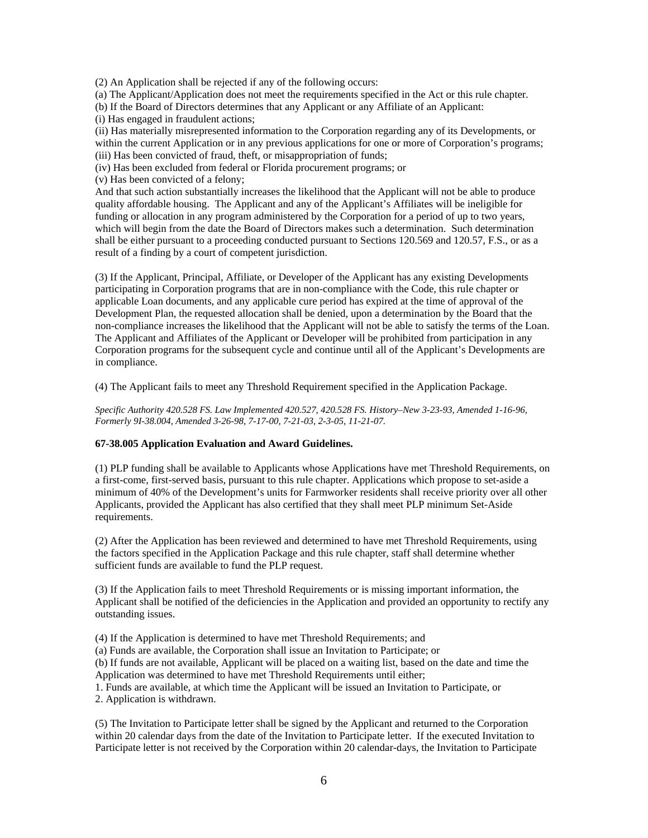(2) An Application shall be rejected if any of the following occurs:

(a) The Applicant/Application does not meet the requirements specified in the Act or this rule chapter.

(b) If the Board of Directors determines that any Applicant or any Affiliate of an Applicant:

(i) Has engaged in fraudulent actions;

(ii) Has materially misrepresented information to the Corporation regarding any of its Developments, or within the current Application or in any previous applications for one or more of Corporation's programs; (iii) Has been convicted of fraud, theft, or misappropriation of funds;

(iv) Has been excluded from federal or Florida procurement programs; or

(v) Has been convicted of a felony;

And that such action substantially increases the likelihood that the Applicant will not be able to produce quality affordable housing. The Applicant and any of the Applicant's Affiliates will be ineligible for funding or allocation in any program administered by the Corporation for a period of up to two years, which will begin from the date the Board of Directors makes such a determination. Such determination shall be either pursuant to a proceeding conducted pursuant to Sections 120.569 and 120.57, F.S., or as a result of a finding by a court of competent jurisdiction.

(3) If the Applicant, Principal, Affiliate, or Developer of the Applicant has any existing Developments participating in Corporation programs that are in non-compliance with the Code, this rule chapter or applicable Loan documents, and any applicable cure period has expired at the time of approval of the Development Plan, the requested allocation shall be denied, upon a determination by the Board that the non-compliance increases the likelihood that the Applicant will not be able to satisfy the terms of the Loan. The Applicant and Affiliates of the Applicant or Developer will be prohibited from participation in any Corporation programs for the subsequent cycle and continue until all of the Applicant's Developments are in compliance.

(4) The Applicant fails to meet any Threshold Requirement specified in the Application Package.

*Specific Authority 420.528 FS. Law Implemented 420.527, 420.528 FS. History–New 3-23-93, Amended 1-16-96, Formerly 9I-38.004, Amended 3-26-98, 7-17-00, 7-21-03, 2-3-05, 11-21-07.* 

#### **67-38.005 Application Evaluation and Award Guidelines.**

(1) PLP funding shall be available to Applicants whose Applications have met Threshold Requirements, on a first-come, first-served basis, pursuant to this rule chapter. Applications which propose to set-aside a minimum of 40% of the Development's units for Farmworker residents shall receive priority over all other Applicants, provided the Applicant has also certified that they shall meet PLP minimum Set-Aside requirements.

(2) After the Application has been reviewed and determined to have met Threshold Requirements, using the factors specified in the Application Package and this rule chapter, staff shall determine whether sufficient funds are available to fund the PLP request.

(3) If the Application fails to meet Threshold Requirements or is missing important information, the Applicant shall be notified of the deficiencies in the Application and provided an opportunity to rectify any outstanding issues.

(4) If the Application is determined to have met Threshold Requirements; and

(a) Funds are available, the Corporation shall issue an Invitation to Participate; or

(b) If funds are not available, Applicant will be placed on a waiting list, based on the date and time the Application was determined to have met Threshold Requirements until either;

1. Funds are available, at which time the Applicant will be issued an Invitation to Participate, or 2. Application is withdrawn.

(5) The Invitation to Participate letter shall be signed by the Applicant and returned to the Corporation within 20 calendar days from the date of the Invitation to Participate letter. If the executed Invitation to Participate letter is not received by the Corporation within 20 calendar-days, the Invitation to Participate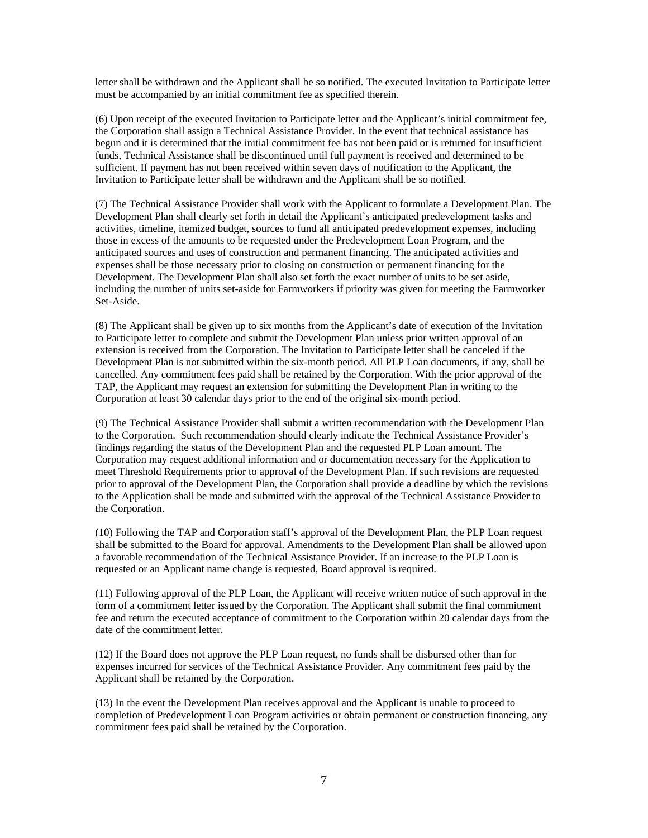letter shall be withdrawn and the Applicant shall be so notified. The executed Invitation to Participate letter must be accompanied by an initial commitment fee as specified therein.

(6) Upon receipt of the executed Invitation to Participate letter and the Applicant's initial commitment fee, the Corporation shall assign a Technical Assistance Provider. In the event that technical assistance has begun and it is determined that the initial commitment fee has not been paid or is returned for insufficient funds, Technical Assistance shall be discontinued until full payment is received and determined to be sufficient. If payment has not been received within seven days of notification to the Applicant, the Invitation to Participate letter shall be withdrawn and the Applicant shall be so notified.

(7) The Technical Assistance Provider shall work with the Applicant to formulate a Development Plan. The Development Plan shall clearly set forth in detail the Applicant's anticipated predevelopment tasks and activities, timeline, itemized budget, sources to fund all anticipated predevelopment expenses, including those in excess of the amounts to be requested under the Predevelopment Loan Program, and the anticipated sources and uses of construction and permanent financing. The anticipated activities and expenses shall be those necessary prior to closing on construction or permanent financing for the Development. The Development Plan shall also set forth the exact number of units to be set aside, including the number of units set-aside for Farmworkers if priority was given for meeting the Farmworker Set-Aside.

(8) The Applicant shall be given up to six months from the Applicant's date of execution of the Invitation to Participate letter to complete and submit the Development Plan unless prior written approval of an extension is received from the Corporation. The Invitation to Participate letter shall be canceled if the Development Plan is not submitted within the six-month period. All PLP Loan documents, if any, shall be cancelled. Any commitment fees paid shall be retained by the Corporation. With the prior approval of the TAP, the Applicant may request an extension for submitting the Development Plan in writing to the Corporation at least 30 calendar days prior to the end of the original six-month period.

(9) The Technical Assistance Provider shall submit a written recommendation with the Development Plan to the Corporation. Such recommendation should clearly indicate the Technical Assistance Provider's findings regarding the status of the Development Plan and the requested PLP Loan amount. The Corporation may request additional information and or documentation necessary for the Application to meet Threshold Requirements prior to approval of the Development Plan. If such revisions are requested prior to approval of the Development Plan, the Corporation shall provide a deadline by which the revisions to the Application shall be made and submitted with the approval of the Technical Assistance Provider to the Corporation.

(10) Following the TAP and Corporation staff's approval of the Development Plan, the PLP Loan request shall be submitted to the Board for approval. Amendments to the Development Plan shall be allowed upon a favorable recommendation of the Technical Assistance Provider. If an increase to the PLP Loan is requested or an Applicant name change is requested, Board approval is required.

(11) Following approval of the PLP Loan, the Applicant will receive written notice of such approval in the form of a commitment letter issued by the Corporation. The Applicant shall submit the final commitment fee and return the executed acceptance of commitment to the Corporation within 20 calendar days from the date of the commitment letter.

(12) If the Board does not approve the PLP Loan request, no funds shall be disbursed other than for expenses incurred for services of the Technical Assistance Provider. Any commitment fees paid by the Applicant shall be retained by the Corporation.

(13) In the event the Development Plan receives approval and the Applicant is unable to proceed to completion of Predevelopment Loan Program activities or obtain permanent or construction financing, any commitment fees paid shall be retained by the Corporation.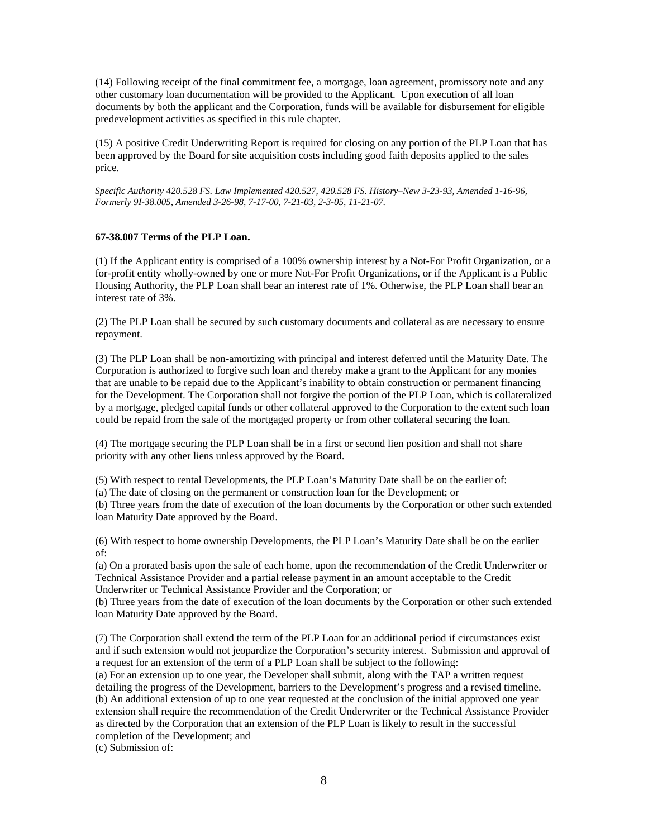(14) Following receipt of the final commitment fee, a mortgage, loan agreement, promissory note and any other customary loan documentation will be provided to the Applicant. Upon execution of all loan documents by both the applicant and the Corporation, funds will be available for disbursement for eligible predevelopment activities as specified in this rule chapter.

(15) A positive Credit Underwriting Report is required for closing on any portion of the PLP Loan that has been approved by the Board for site acquisition costs including good faith deposits applied to the sales price.

*Specific Authority 420.528 FS. Law Implemented 420.527, 420.528 FS. History–New 3-23-93, Amended 1-16-96, Formerly 9I-38.005, Amended 3-26-98, 7-17-00, 7-21-03, 2-3-05, 11-21-07.* 

#### **67-38.007 Terms of the PLP Loan.**

(1) If the Applicant entity is comprised of a 100% ownership interest by a Not-For Profit Organization, or a for-profit entity wholly-owned by one or more Not-For Profit Organizations, or if the Applicant is a Public Housing Authority, the PLP Loan shall bear an interest rate of 1%. Otherwise, the PLP Loan shall bear an interest rate of 3%.

(2) The PLP Loan shall be secured by such customary documents and collateral as are necessary to ensure repayment.

(3) The PLP Loan shall be non-amortizing with principal and interest deferred until the Maturity Date. The Corporation is authorized to forgive such loan and thereby make a grant to the Applicant for any monies that are unable to be repaid due to the Applicant's inability to obtain construction or permanent financing for the Development. The Corporation shall not forgive the portion of the PLP Loan, which is collateralized by a mortgage, pledged capital funds or other collateral approved to the Corporation to the extent such loan could be repaid from the sale of the mortgaged property or from other collateral securing the loan.

(4) The mortgage securing the PLP Loan shall be in a first or second lien position and shall not share priority with any other liens unless approved by the Board.

(5) With respect to rental Developments, the PLP Loan's Maturity Date shall be on the earlier of:

(a) The date of closing on the permanent or construction loan for the Development; or

(b) Three years from the date of execution of the loan documents by the Corporation or other such extended loan Maturity Date approved by the Board.

(6) With respect to home ownership Developments, the PLP Loan's Maturity Date shall be on the earlier of:

(a) On a prorated basis upon the sale of each home, upon the recommendation of the Credit Underwriter or Technical Assistance Provider and a partial release payment in an amount acceptable to the Credit Underwriter or Technical Assistance Provider and the Corporation; or

(b) Three years from the date of execution of the loan documents by the Corporation or other such extended loan Maturity Date approved by the Board.

(7) The Corporation shall extend the term of the PLP Loan for an additional period if circumstances exist and if such extension would not jeopardize the Corporation's security interest. Submission and approval of a request for an extension of the term of a PLP Loan shall be subject to the following:

(a) For an extension up to one year, the Developer shall submit, along with the TAP a written request detailing the progress of the Development, barriers to the Development's progress and a revised timeline. (b) An additional extension of up to one year requested at the conclusion of the initial approved one year extension shall require the recommendation of the Credit Underwriter or the Technical Assistance Provider as directed by the Corporation that an extension of the PLP Loan is likely to result in the successful completion of the Development; and

(c) Submission of: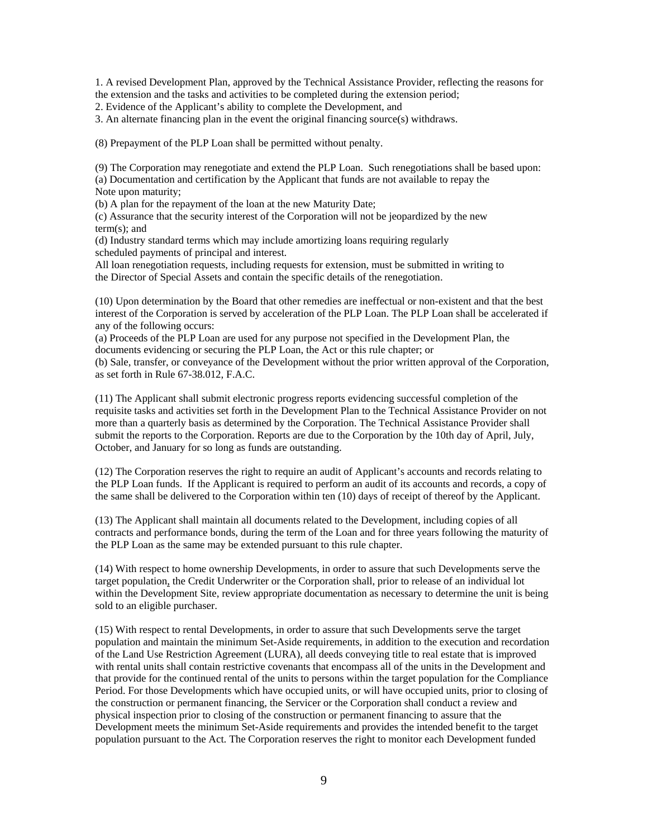1. A revised Development Plan, approved by the Technical Assistance Provider, reflecting the reasons for the extension and the tasks and activities to be completed during the extension period;

2. Evidence of the Applicant's ability to complete the Development, and

3. An alternate financing plan in the event the original financing source(s) withdraws.

(8) Prepayment of the PLP Loan shall be permitted without penalty.

(9) The Corporation may renegotiate and extend the PLP Loan. Such renegotiations shall be based upon: (a) Documentation and certification by the Applicant that funds are not available to repay the Note upon maturity;

(b) A plan for the repayment of the loan at the new Maturity Date;

(c) Assurance that the security interest of the Corporation will not be jeopardized by the new term(s); and

(d) Industry standard terms which may include amortizing loans requiring regularly scheduled payments of principal and interest.

All loan renegotiation requests, including requests for extension, must be submitted in writing to the Director of Special Assets and contain the specific details of the renegotiation.

(10) Upon determination by the Board that other remedies are ineffectual or non-existent and that the best interest of the Corporation is served by acceleration of the PLP Loan. The PLP Loan shall be accelerated if any of the following occurs:

(a) Proceeds of the PLP Loan are used for any purpose not specified in the Development Plan, the documents evidencing or securing the PLP Loan, the Act or this rule chapter; or (b) Sale, transfer, or conveyance of the Development without the prior written approval of the Corporation, as set forth in Rule 67-38.012, F.A.C.

(11) The Applicant shall submit electronic progress reports evidencing successful completion of the requisite tasks and activities set forth in the Development Plan to the Technical Assistance Provider on not more than a quarterly basis as determined by the Corporation. The Technical Assistance Provider shall submit the reports to the Corporation. Reports are due to the Corporation by the 10th day of April, July, October, and January for so long as funds are outstanding.

(12) The Corporation reserves the right to require an audit of Applicant's accounts and records relating to the PLP Loan funds. If the Applicant is required to perform an audit of its accounts and records, a copy of the same shall be delivered to the Corporation within ten (10) days of receipt of thereof by the Applicant.

(13) The Applicant shall maintain all documents related to the Development, including copies of all contracts and performance bonds, during the term of the Loan and for three years following the maturity of the PLP Loan as the same may be extended pursuant to this rule chapter.

(14) With respect to home ownership Developments, in order to assure that such Developments serve the target population, the Credit Underwriter or the Corporation shall, prior to release of an individual lot within the Development Site, review appropriate documentation as necessary to determine the unit is being sold to an eligible purchaser.

(15) With respect to rental Developments, in order to assure that such Developments serve the target population and maintain the minimum Set-Aside requirements, in addition to the execution and recordation of the Land Use Restriction Agreement (LURA), all deeds conveying title to real estate that is improved with rental units shall contain restrictive covenants that encompass all of the units in the Development and that provide for the continued rental of the units to persons within the target population for the Compliance Period. For those Developments which have occupied units, or will have occupied units, prior to closing of the construction or permanent financing, the Servicer or the Corporation shall conduct a review and physical inspection prior to closing of the construction or permanent financing to assure that the Development meets the minimum Set-Aside requirements and provides the intended benefit to the target population pursuant to the Act. The Corporation reserves the right to monitor each Development funded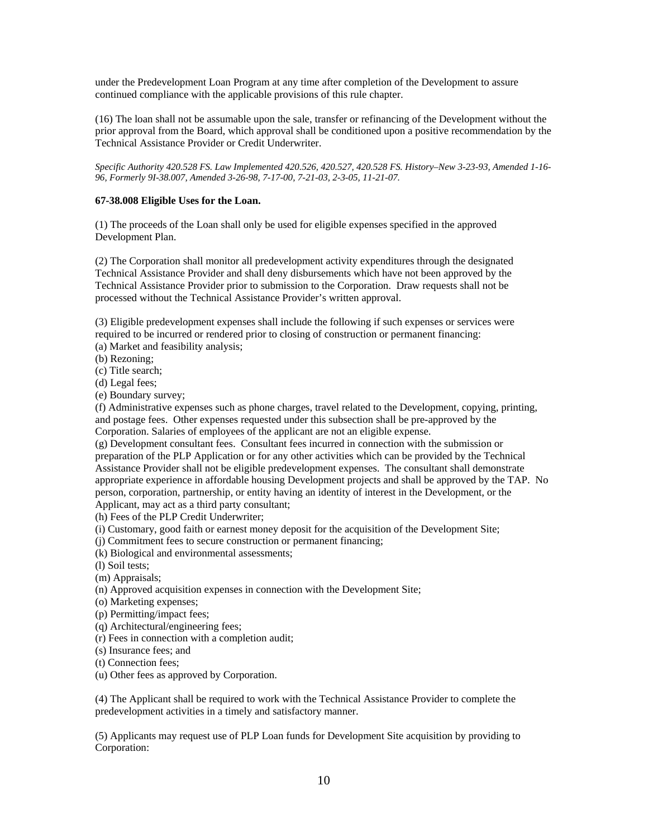under the Predevelopment Loan Program at any time after completion of the Development to assure continued compliance with the applicable provisions of this rule chapter.

(16) The loan shall not be assumable upon the sale, transfer or refinancing of the Development without the prior approval from the Board, which approval shall be conditioned upon a positive recommendation by the Technical Assistance Provider or Credit Underwriter.

*Specific Authority 420.528 FS. Law Implemented 420.526, 420.527, 420.528 FS. History–New 3-23-93, Amended 1-16- 96, Formerly 9I-38.007, Amended 3-26-98, 7-17-00, 7-21-03, 2-3-05, 11-21-07.* 

## **67-38.008 Eligible Uses for the Loan.**

(1) The proceeds of the Loan shall only be used for eligible expenses specified in the approved Development Plan.

(2) The Corporation shall monitor all predevelopment activity expenditures through the designated Technical Assistance Provider and shall deny disbursements which have not been approved by the Technical Assistance Provider prior to submission to the Corporation. Draw requests shall not be processed without the Technical Assistance Provider's written approval.

(3) Eligible predevelopment expenses shall include the following if such expenses or services were required to be incurred or rendered prior to closing of construction or permanent financing: (a) Market and feasibility analysis;

(b) Rezoning;

(c) Title search;

(d) Legal fees;

(e) Boundary survey;

(f) Administrative expenses such as phone charges, travel related to the Development, copying, printing, and postage fees. Other expenses requested under this subsection shall be pre-approved by the Corporation. Salaries of employees of the applicant are not an eligible expense.

(g) Development consultant fees. Consultant fees incurred in connection with the submission or preparation of the PLP Application or for any other activities which can be provided by the Technical Assistance Provider shall not be eligible predevelopment expenses. The consultant shall demonstrate appropriate experience in affordable housing Development projects and shall be approved by the TAP. No person, corporation, partnership, or entity having an identity of interest in the Development, or the Applicant, may act as a third party consultant;

(h) Fees of the PLP Credit Underwriter;

(i) Customary, good faith or earnest money deposit for the acquisition of the Development Site;

(j) Commitment fees to secure construction or permanent financing;

(k) Biological and environmental assessments;

(l) Soil tests;

(m) Appraisals;

(n) Approved acquisition expenses in connection with the Development Site;

(o) Marketing expenses;

(p) Permitting/impact fees;

(q) Architectural/engineering fees;

(r) Fees in connection with a completion audit;

(s) Insurance fees; and

(t) Connection fees;

(u) Other fees as approved by Corporation.

(4) The Applicant shall be required to work with the Technical Assistance Provider to complete the predevelopment activities in a timely and satisfactory manner.

(5) Applicants may request use of PLP Loan funds for Development Site acquisition by providing to Corporation: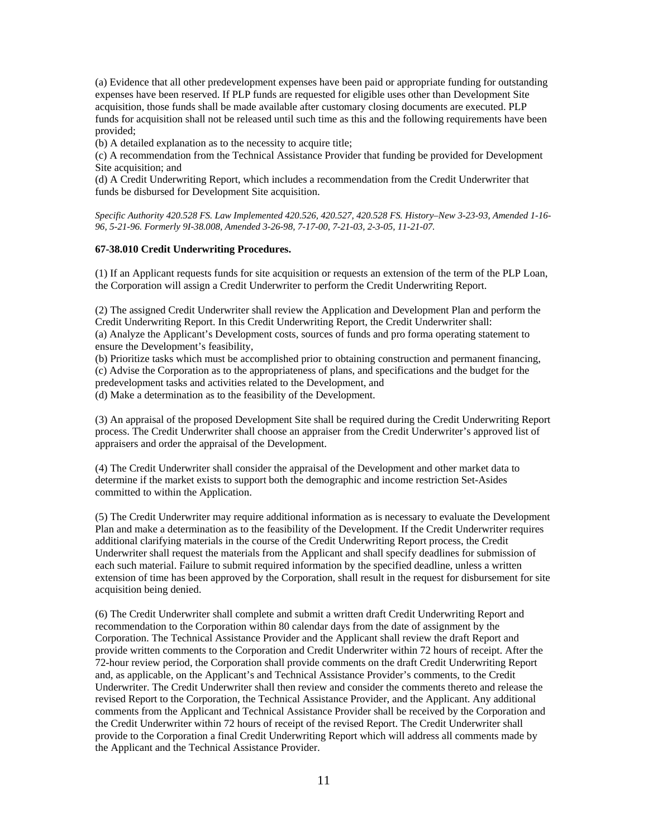(a) Evidence that all other predevelopment expenses have been paid or appropriate funding for outstanding expenses have been reserved. If PLP funds are requested for eligible uses other than Development Site acquisition, those funds shall be made available after customary closing documents are executed. PLP funds for acquisition shall not be released until such time as this and the following requirements have been provided;

(b) A detailed explanation as to the necessity to acquire title;

(c) A recommendation from the Technical Assistance Provider that funding be provided for Development Site acquisition; and

(d) A Credit Underwriting Report, which includes a recommendation from the Credit Underwriter that funds be disbursed for Development Site acquisition.

*Specific Authority 420.528 FS. Law Implemented 420.526, 420.527, 420.528 FS. History–New 3-23-93, Amended 1-16- 96, 5-21-96. Formerly 9I-38.008, Amended 3-26-98, 7-17-00, 7-21-03, 2-3-05, 11-21-07.* 

## **67-38.010 Credit Underwriting Procedures.**

(1) If an Applicant requests funds for site acquisition or requests an extension of the term of the PLP Loan, the Corporation will assign a Credit Underwriter to perform the Credit Underwriting Report.

(2) The assigned Credit Underwriter shall review the Application and Development Plan and perform the Credit Underwriting Report. In this Credit Underwriting Report, the Credit Underwriter shall: (a) Analyze the Applicant's Development costs, sources of funds and pro forma operating statement to ensure the Development's feasibility,

(b) Prioritize tasks which must be accomplished prior to obtaining construction and permanent financing, (c) Advise the Corporation as to the appropriateness of plans, and specifications and the budget for the predevelopment tasks and activities related to the Development, and

(d) Make a determination as to the feasibility of the Development.

(3) An appraisal of the proposed Development Site shall be required during the Credit Underwriting Report process. The Credit Underwriter shall choose an appraiser from the Credit Underwriter's approved list of appraisers and order the appraisal of the Development.

(4) The Credit Underwriter shall consider the appraisal of the Development and other market data to determine if the market exists to support both the demographic and income restriction Set-Asides committed to within the Application.

(5) The Credit Underwriter may require additional information as is necessary to evaluate the Development Plan and make a determination as to the feasibility of the Development. If the Credit Underwriter requires additional clarifying materials in the course of the Credit Underwriting Report process, the Credit Underwriter shall request the materials from the Applicant and shall specify deadlines for submission of each such material. Failure to submit required information by the specified deadline, unless a written extension of time has been approved by the Corporation, shall result in the request for disbursement for site acquisition being denied.

(6) The Credit Underwriter shall complete and submit a written draft Credit Underwriting Report and recommendation to the Corporation within 80 calendar days from the date of assignment by the Corporation. The Technical Assistance Provider and the Applicant shall review the draft Report and provide written comments to the Corporation and Credit Underwriter within 72 hours of receipt. After the 72-hour review period, the Corporation shall provide comments on the draft Credit Underwriting Report and, as applicable, on the Applicant's and Technical Assistance Provider's comments, to the Credit Underwriter. The Credit Underwriter shall then review and consider the comments thereto and release the revised Report to the Corporation, the Technical Assistance Provider, and the Applicant. Any additional comments from the Applicant and Technical Assistance Provider shall be received by the Corporation and the Credit Underwriter within 72 hours of receipt of the revised Report. The Credit Underwriter shall provide to the Corporation a final Credit Underwriting Report which will address all comments made by the Applicant and the Technical Assistance Provider.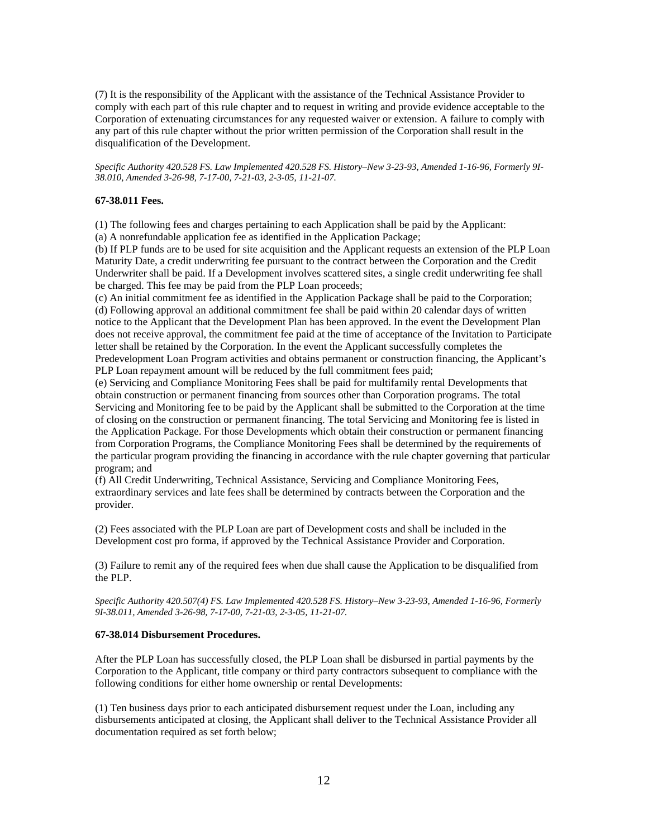(7) It is the responsibility of the Applicant with the assistance of the Technical Assistance Provider to comply with each part of this rule chapter and to request in writing and provide evidence acceptable to the Corporation of extenuating circumstances for any requested waiver or extension. A failure to comply with any part of this rule chapter without the prior written permission of the Corporation shall result in the disqualification of the Development.

*Specific Authority 420.528 FS. Law Implemented 420.528 FS. History–New 3-23-93, Amended 1-16-96, Formerly 9I-38.010, Amended 3-26-98, 7-17-00, 7-21-03, 2-3-05, 11-21-07.* 

## **67-38.011 Fees.**

(1) The following fees and charges pertaining to each Application shall be paid by the Applicant: (a) A nonrefundable application fee as identified in the Application Package;

(b) If PLP funds are to be used for site acquisition and the Applicant requests an extension of the PLP Loan Maturity Date, a credit underwriting fee pursuant to the contract between the Corporation and the Credit Underwriter shall be paid. If a Development involves scattered sites, a single credit underwriting fee shall be charged. This fee may be paid from the PLP Loan proceeds;

(c) An initial commitment fee as identified in the Application Package shall be paid to the Corporation; (d) Following approval an additional commitment fee shall be paid within 20 calendar days of written notice to the Applicant that the Development Plan has been approved. In the event the Development Plan does not receive approval, the commitment fee paid at the time of acceptance of the Invitation to Participate letter shall be retained by the Corporation. In the event the Applicant successfully completes the Predevelopment Loan Program activities and obtains permanent or construction financing, the Applicant's PLP Loan repayment amount will be reduced by the full commitment fees paid;

(e) Servicing and Compliance Monitoring Fees shall be paid for multifamily rental Developments that obtain construction or permanent financing from sources other than Corporation programs. The total Servicing and Monitoring fee to be paid by the Applicant shall be submitted to the Corporation at the time of closing on the construction or permanent financing. The total Servicing and Monitoring fee is listed in the Application Package. For those Developments which obtain their construction or permanent financing from Corporation Programs, the Compliance Monitoring Fees shall be determined by the requirements of the particular program providing the financing in accordance with the rule chapter governing that particular program; and

(f) All Credit Underwriting, Technical Assistance, Servicing and Compliance Monitoring Fees, extraordinary services and late fees shall be determined by contracts between the Corporation and the provider.

(2) Fees associated with the PLP Loan are part of Development costs and shall be included in the Development cost pro forma, if approved by the Technical Assistance Provider and Corporation.

(3) Failure to remit any of the required fees when due shall cause the Application to be disqualified from the PLP.

*Specific Authority 420.507(4) FS. Law Implemented 420.528 FS. History–New 3-23-93, Amended 1-16-96, Formerly 9I-38.011, Amended 3-26-98, 7-17-00, 7-21-03, 2-3-05, 11-21-07.* 

## **67-38.014 Disbursement Procedures.**

After the PLP Loan has successfully closed, the PLP Loan shall be disbursed in partial payments by the Corporation to the Applicant, title company or third party contractors subsequent to compliance with the following conditions for either home ownership or rental Developments:

(1) Ten business days prior to each anticipated disbursement request under the Loan, including any disbursements anticipated at closing, the Applicant shall deliver to the Technical Assistance Provider all documentation required as set forth below;